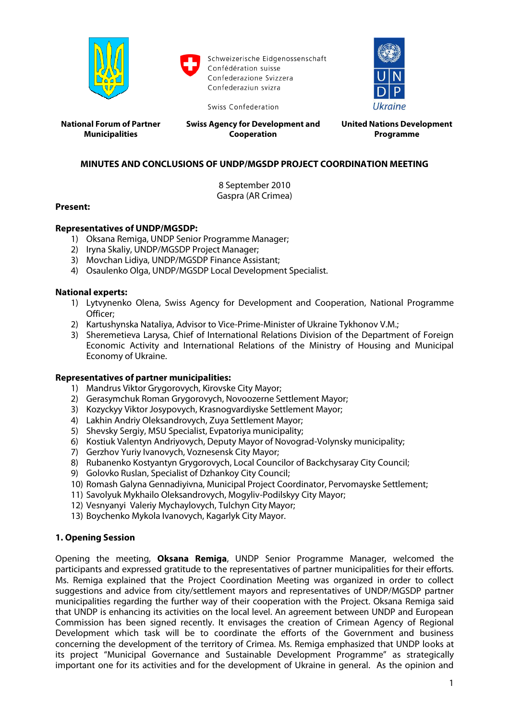

Schweizerische Eidgenossenschaft Confédération suisse Confederazione Svizzera Confederaziun svizra



**National Forum of Partner Municipalities**

**Swiss Agency for Development and Cooperation**

Swiss Confederation

**United Nations Development Programme**

# **MINUTES AND CONCLUSIONS OF UNDP/MGSDP PROJECT COORDINATION MEETING**

8 September 2010 Gaspra (AR Crimea)

## **Present:**

## **Representatives of UNDP/MGSDP:**

- 1) Oksana Remiga, UNDP Senior Programme Manager;
- 2) Iryna Skaliy, UNDP/MGSDP Project Manager;
- 3) Movchan Lidiya, UNDP/MGSDP Finance Assistant;
- 4) Osaulenko Olga, UNDP/MGSDP Local Development Specialist.

## **National experts:**

- 1) Lytvynenko Olena, Swiss Agency for Development and Cooperation, National Programme Officer;
- 2) Kartushynska Nataliya, Advisor to Vice-Prime-Minister of Ukraine Tykhonov V.M.;
- 3) Sheremetieva Larysa, Chief of International Relations Division of the Department of Foreign Economic Activity and International Relations of the Ministry of Housing and Municipal Economy of Ukraine.

### **Representatives of partner municipalities:**

- 1) Mandrus Viktor Grygorovych, Kirovske City Mayor;
- 2) Gerasymchuk Roman Grygorovych, Novoozerne Settlement Mayor;
- 3) Kozyckyy Viktor Josypovych, Krasnogvardiyske Settlement Mayor;
- 4) Lakhin Andriy Oleksandrovych, Zuya Settlement Mayor;
- 5) Shevsky Sergiy, MSU Specialist, Evpatoriya municipality;
- 6) Kostiuk Valentyn Andriyovych, Deputy Mayor of Novograd-Volynsky municipality;
- 7) Gerzhov Yuriy Ivanovych, Voznesensk City Mayor;
- 8) Rubanenko Kostyantyn Grygorovych, Local Councilor of Backchysaray City Council;
- 9) Golovko Ruslan, Specialist of Dzhankoy City Council;
- 10) Romash Galyna Gennadiyivna, Municipal Project Coordinator, Pervomayske Settlement;
- 11) Savolyuk Mykhailo Oleksandrovych, Mogyliv-Podilskyy City Mayor;
- 12) Vesnyanyi Valeriy Mychaylovych, Tulchyn City Mayor;
- 13) Boychenko Mykola Ivanovych, Kagarlyk City Mayor.

## **1. Opening Session**

Opening the meeting, **Oksana Remiga**, UNDP Senior Programme Manager, welcomed the participants and expressed gratitude to the representatives of partner municipalities for their efforts. Ms. Remiga explained that the Project Coordination Meeting was organized in order to collect suggestions and advice from city/settlement mayors and representatives of UNDP/MGSDP partner municipalities regarding the further way of their cooperation with the Project. Oksana Remiga said that UNDP is enhancing its activities on the local level. An agreement between UNDP and European Commission has been signed recently. It envisages the creation of Crimean Agency of Regional Development which task will be to coordinate the efforts of the Government and business concerning the development of the territory of Crimea. Ms. Remiga emphasized that UNDP looks at its project "Municipal Governance and Sustainable Development Programme" as strategically important one for its activities and for the development of Ukraine in general. As the opinion and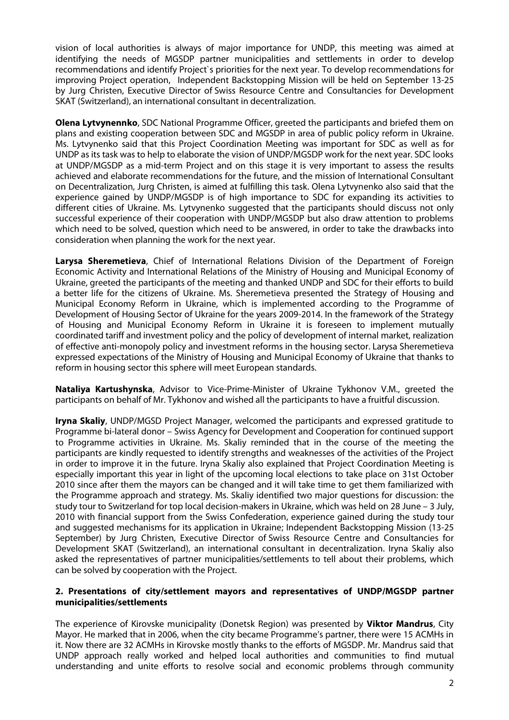vision of local authorities is always of major importance for UNDP, this meeting was aimed at identifying the needs of MGSDP partner municipalities and settlements in order to develop recommendations and identify Project`s priorities for the next year. To develop recommendations for improving Project operation, Independent Backstopping Mission will be held on September 13-25 by Jurg Christen, Executive Director of Swiss Resource Centre and Consultancies for Development SKAT (Switzerland), an international consultant in decentralization.

**Olena Lytvynennko**, SDC National Programme Officer, greeted the participants and briefed them on plans and existing cooperation between SDC and MGSDP in area of public policy reform in Ukraine. Ms. Lytvynenko said that this Project Coordination Meeting was important for SDC as well as for UNDP as its task was to help to elaborate the vision of UNDP/MGSDP work for the next year. SDC looks at UNDP/MGSDP as a mid-term Project and on this stage it is very important to assess the results achieved and elaborate recommendations for the future, and the mission of International Consultant on Decentralization, Jurg Christen, is aimed at fulfilling this task. Olena Lytvynenko also said that the experience gained by UNDP/MGSDP is of high importance to SDC for expanding its activities to different cities of Ukraine. Ms. Lytvynenko suggested that the participants should discuss not only successful experience of their cooperation with UNDP/MGSDP but also draw attention to problems which need to be solved, question which need to be answered, in order to take the drawbacks into consideration when planning the work for the next year.

**Larysa Sheremetieva**, Chief of International Relations Division of the Department of Foreign Economic Activity and International Relations of the Ministry of Housing and Municipal Economy of Ukraine, greeted the participants of the meeting and thanked UNDP and SDC for their efforts to build a better life for the citizens of Ukraine. Ms. Sheremetieva presented the Strategy of Housing and Municipal Economy Reform in Ukraine, which is implemented according to the Programme of Development of Housing Sector of Ukraine for the years 2009-2014. In the framework of the Strategy of Housing and Municipal Economy Reform in Ukraine it is foreseen to implement mutually coordinated tariff and investment policy and the policy of development of internal market, realization of effective anti-monopoly policy and investment reforms in the housing sector. Larysa Sheremetieva expressed expectations of the Ministry of Housing and Municipal Economy of Ukraine that thanks to reform in housing sector this sphere will meet European standards.

**Nataliya Kartushynska**, Advisor to Vice-Prime-Minister of Ukraine Tykhonov V.M., greeted the participants on behalf of Mr. Tykhonov and wished all the participants to have a fruitful discussion.

**Iryna Skaliy**, UNDP/MGSD Project Manager, welcomed the participants and expressed gratitude to Programme bi-lateral donor – Swiss Agency for Development and Cooperation for continued support to Programme activities in Ukraine. Ms. Skaliy reminded that in the course of the meeting the participants are kindly requested to identify strengths and weaknesses of the activities of the Project in order to improve it in the future. Iryna Skaliy also explained that Project Coordination Meeting is especially important this year in light of the upcoming local elections to take place on 31st October 2010 since after them the mayors can be changed and it will take time to get them familiarized with the Programme approach and strategy. Ms. Skaliy identified two major questions for discussion: the study tour to Switzerland for top local decision-makers in Ukraine, which was held on 28 June – 3 July, 2010 with financial support from the Swiss Confederation, experience gained during the study tour and suggested mechanisms for its application in Ukraine; Independent Backstopping Mission (13-25 September) by Jurg Christen, Executive Director of Swiss Resource Centre and Consultancies for Development SKAT (Switzerland), an international consultant in decentralization. Iryna Skaliy also asked the representatives of partner municipalities/settlements to tell about their problems, which can be solved by cooperation with the Project.

#### **2. Presentations of city/settlement mayors and representatives of UNDP/MGSDP partner municipalities/settlements**

The experience of Kirovske municipality (Donetsk Region) was presented by **Viktor Mandrus**, City Mayor. He marked that in 2006, when the city became Programme's partner, there were 15 ACMHs in it. Now there are 32 ACMHs in Kirovske mostly thanks to the efforts of MGSDP. Mr. Mandrus said that UNDP approach really worked and helped local authorities and communities to find mutual understanding and unite efforts to resolve social and economic problems through community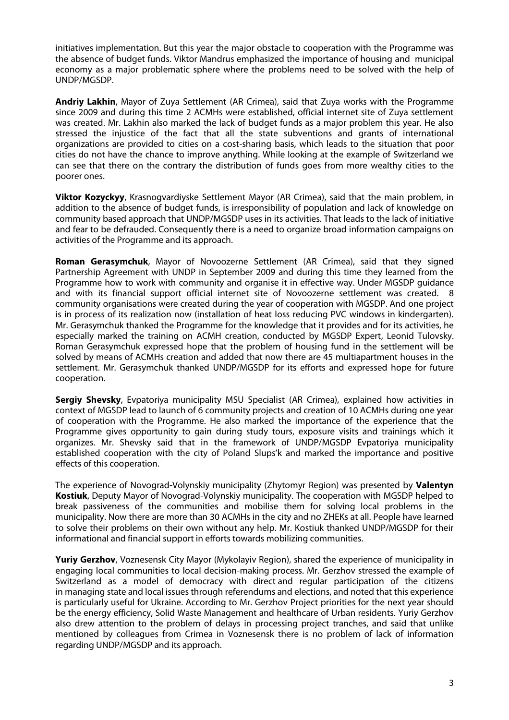initiatives implementation. But this year the major obstacle to cooperation with the Programme was the absence of budget funds. Viktor Mandrus emphasized the importance of housing and municipal economy as a major problematic sphere where the problems need to be solved with the help of UNDP/MGSDP.

**Andriy Lakhin**, Mayor of Zuya Settlement (AR Crimea), said that Zuya works with the Programme since 2009 and during this time 2 ACMHs were established, official internet site of Zuya settlement was created. Mr. Lakhin also marked the lack of budget funds as a major problem this year. He also stressed the injustice of the fact that all the state subventions and grants of international organizations are provided to cities on a cost-sharing basis, which leads to the situation that poor cities do not have the chance to improve anything. While looking at the example of Switzerland we can see that there on the contrary the distribution of funds goes from more wealthy cities to the poorer ones.

**Viktor Kozyckyy**, Krasnogvardiyske Settlement Mayor (AR Crimea), said that the main problem, in addition to the absence of budget funds, is irresponsibility of population and lack of knowledge on community based approach that UNDP/MGSDP uses in its activities. That leads to the lack of initiative and fear to be defrauded. Consequently there is a need to organize broad information campaigns on activities of the Programme and its approach.

**Roman Gerasymchuk**, Mayor of Novoozerne Settlement (AR Crimea), said that they signed Partnership Agreement with UNDP in September 2009 and during this time they learned from the Programme how to work with community and organise it in effective way. Under MGSDP guidance and with its financial support official internet site of Novoozerne settlement was created. 8 community organisations were created during the year of cooperation with MGSDP. And one project is in process of its realization now (installation of heat loss reducing PVC windows in kindergarten). Mr. Gerasymchuk thanked the Programme for the knowledge that it provides and for its activities, he especially marked the training on ACMH creation, conducted by MGSDP Expert, Leonid Tulovsky. Roman Gerasymchuk expressed hope that the problem of housing fund in the settlement will be solved by means of ACMHs creation and added that now there are 45 multiapartment houses in the settlement. Mr. Gerasymchuk thanked UNDP/MGSDP for its efforts and expressed hope for future cooperation.

**Sergiy Shevsky**, Evpatoriya municipality MSU Specialist (AR Crimea), explained how activities in context of MGSDP lead to launch of 6 community projects and creation of 10 ACMHs during one year of cooperation with the Programme. He also marked the importance of the experience that the Programme gives opportunity to gain during study tours, exposure visits and trainings which it organizes. Mr. Shevsky said that in the framework of UNDP/MGSDP Evpatoriya municipality established cooperation with the city of Poland Slups'k and marked the importance and positive effects of this cooperation.

The experience of Novograd-Volynskiy municipality (Zhytomyr Region) was presented by **Valentyn Kostiuk**, Deputy Mayor of Novograd-Volynskiy municipality. The cooperation with MGSDP helped to break passiveness of the communities and mobilise them for solving local problems in the municipality. Now there are more than 30 ACMHs in the city and no ZHEKs at all. People have learned to solve their problems on their own without any help. Mr. Kostiuk thanked UNDP/MGSDP for their informational and financial support in efforts towards mobilizing communities.

**Yuriy Gerzhov**, Voznesensk City Mayor (Mykolayiv Region), shared the experience of municipality in engaging local communities to local decision-making process. Mr. Gerzhov stressed the example of Switzerland as a model of democracy with direct and regular participation of the citizens in managing state and local issues through referendums and elections, and noted that this experience is particularly useful for Ukraine. According to Mr. Gerzhov Project priorities for the next year should be the energy efficiency, Solid Waste Management and healthcare of Urban residents. Yuriy Gerzhov also drew attention to the problem of delays in processing project tranches, and said that unlike mentioned by colleagues from Crimea in Voznesensk there is no problem of lack of information regarding UNDP/MGSDP and its approach.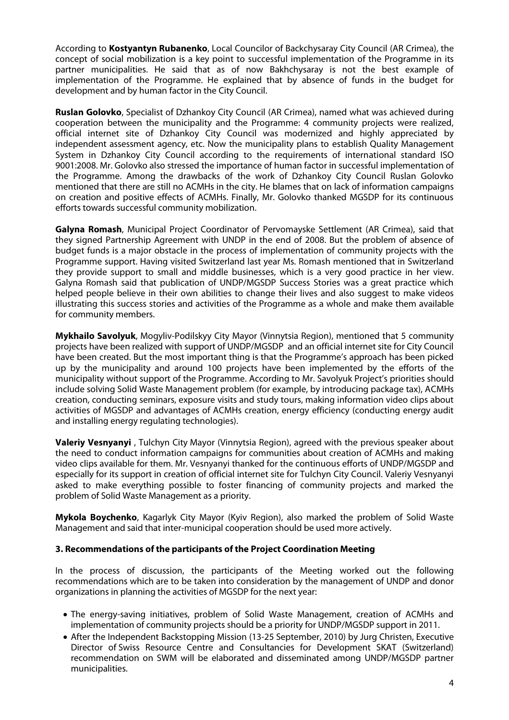According to **Kostyantyn Rubanenko**, Local Councilor of Backchysaray City Council (AR Crimea), the concept of social mobilization is a key point to successful implementation of the Programme in its partner municipalities. He said that as of now Bakhchysaray is not the best example of implementation of the Programme. He explained that by absence of funds in the budget for development and by human factor in the City Council.

**Ruslan Golovko**, Specialist of Dzhankoy City Council (AR Crimea), named what was achieved during cooperation between the municipality and the Programme: 4 community projects were realized, official internet site of Dzhankoy City Council was modernized and highly appreciated by independent assessment agency, etc. Now the municipality plans to establish Quality Management System in Dzhankoy City Council according to the requirements of international standard ISO 9001:2008. Mr. Golovko also stressed the importance of human factor in successful implementation of the Programme. Among the drawbacks of the work of Dzhankoy City Council Ruslan Golovko mentioned that there are still no ACMHs in the city. He blames that on lack of information campaigns on creation and positive effects of ACMHs. Finally, Mr. Golovko thanked MGSDP for its continuous efforts towards successful community mobilization.

**Galyna Romash**, Municipal Project Coordinator of Pervomayske Settlement (AR Crimea), said that they signed Partnership Agreement with UNDP in the end of 2008. But the problem of absence of budget funds is a major obstacle in the process of implementation of community projects with the Programme support. Having visited Switzerland last year Ms. Romash mentioned that in Switzerland they provide support to small and middle businesses, which is a very good practice in her view. Galyna Romash said that publication of UNDP/MGSDP Success Stories was a great practice which helped people believe in their own abilities to change their lives and also suggest to make videos illustrating this success stories and activities of the Programme as a whole and make them available for community members.

**Mykhailo Savolyuk**, Mogyliv-Podilskyy City Mayor (Vinnytsia Region), mentioned that 5 community projects have been realized with support of UNDP/MGSDP and an official internet site for City Council have been created. But the most important thing is that the Programme's approach has been picked up by the municipality and around 100 projects have been implemented by the efforts of the municipality without support of the Programme. According to Mr. Savolyuk Project's priorities should include solving Solid Waste Management problem (for example, by introducing package tax), ACMHs creation, conducting seminars, exposure visits and study tours, making information video clips about activities of MGSDP and advantages of ACMHs creation, energy efficiency (conducting energy audit and installing energy regulating technologies).

**Valeriy Vesnyanyi** , Tulchyn City Mayor (Vinnytsia Region), agreed with the previous speaker about the need to conduct information campaigns for communities about creation of ACMHs and making video clips available for them. Mr. Vesnyanyi thanked for the continuous efforts of UNDP/MGSDP and especially for its support in creation of official internet site for Tulchyn City Council. Valeriy Vesnyanyi asked to make everything possible to foster financing of community projects and marked the problem of Solid Waste Management as a priority.

**Mykola Boychenko**, Kagarlyk City Mayor (Kyiv Region), also marked the problem of Solid Waste Management and said that inter-municipal cooperation should be used more actively.

### **3. Recommendations of the participants of the Project Coordination Meeting**

In the process of discussion, the participants of the Meeting worked out the following recommendations which are to be taken into consideration by the management of UNDP and donor organizations in planning the activities of MGSDP for the next year:

- The energy-saving initiatives, problem of Solid Waste Management, creation of ACMHs and implementation of community projects should be a priority for UNDP/MGSDP support in 2011.
- After the Independent Backstopping Mission (13-25 September, 2010) by Jurg Christen, Executive Director of Swiss Resource Centre and Consultancies for Development SKAT (Switzerland) recommendation on SWM will be elaborated and disseminated among UNDP/MGSDP partner municipalities.